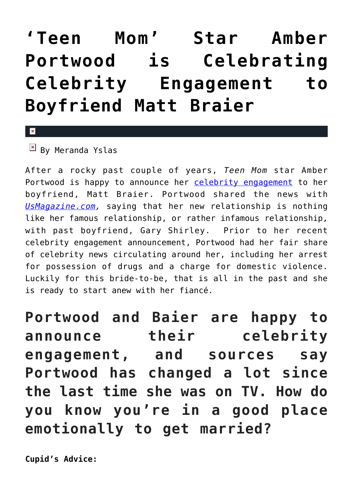## **['Teen Mom' Star Amber](https://cupidspulse.com/88180/teen-mom-amber-portwood-celebrity-engagement-matt-braier/) [Portwood is Celebrating](https://cupidspulse.com/88180/teen-mom-amber-portwood-celebrity-engagement-matt-braier/) [Celebrity Engagement to](https://cupidspulse.com/88180/teen-mom-amber-portwood-celebrity-engagement-matt-braier/) [Boyfriend Matt Braier](https://cupidspulse.com/88180/teen-mom-amber-portwood-celebrity-engagement-matt-braier/)**

 $\mathbf{\overline{x}}$ 

 $\boxed{\times}$  By Meranda Yslas

After a rocky past couple of years, *Teen Mom* star Amber Portwood is happy to announce her [celebrity engagement](http://cupidspulse.com/celebrity-relationships/wedding-engagement/) to her boyfriend, Matt Braier. Portwood shared the news with *[UsMagazine.com](http://www.usmagazine.com/entertainment/news/amber-portwood-says-new-engagement-is-completely-different-201533),* saying that her new relationship is nothing like her famous relationship, or rather infamous relationship, with past boyfriend, Gary Shirley. Prior to her recent celebrity engagement announcement, Portwood had her fair share of celebrity news circulating around her, including her arrest for possession of drugs and a charge for domestic violence. Luckily for this bride-to-be, that is all in the past and she is ready to start anew with her fiancé.

**Portwood and Baier are happy to announce their celebrity engagement, and sources say Portwood has changed a lot since the last time she was on TV. How do you know you're in a good place emotionally to get married?**

**Cupid's Advice:**